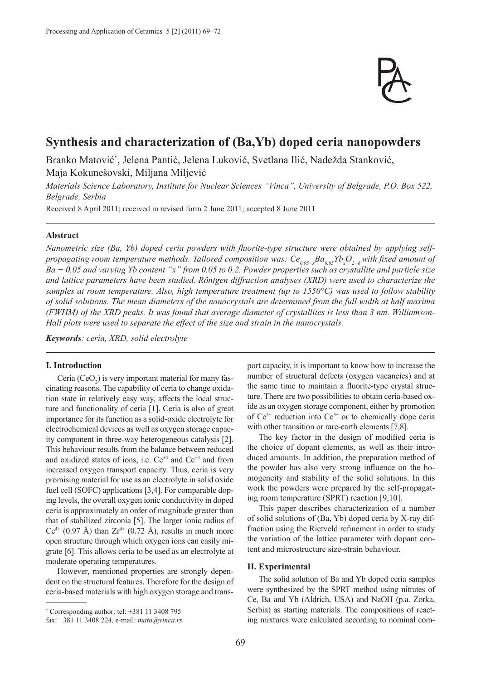

# **Synthesis and characterization of (Ba,Yb) doped ceria nanopowders**

Branko Matović\* , Jelena Pantić, Jelena Luković, Svetlana Ilić, Nadežda Stanković, Maja Kokunešovski, Miljana Miljević

*Materials Science Laboratory, Institute for Nuclear Sciences "Vinca", University of Belgrade, P.O. Box 522, Belgrade, Serbia* 

Received 8 April 2011; received in revised form 2 June 2011; accepted 8 June 2011

#### **Abstract**

*Nanometric size (Ba, Yb) doped ceria powders with fluorite-type structure were obtained by applying selfpropagating room temperature methods. Tailored composition was:*  $Ce_{0.95−x}Ba_{0.05}Yb_xO_{2-δ}$  *with fixed amount of Ba − 0.05 and varying Yb content "x" from 0.05 to 0.2. Powder properties such as crystallite and particle size and lattice parameters have been studied. Röntgen diffraction analyses (XRD) were used to characterize the samples at room temperature. Also, high temperature treatment (up to 1550°C) was used to follow stability of solid solutions. The mean diameters of the nanocrystals are determined from the full width at half maxima (FWHM) of the XRD peaks. It was found that average diameter of crystallites is less than 3 nm. Williamson-Hall plots were used to separate the effect of the size and strain in the nanocrystals.*

*Keywords: ceria, XRD, solid electrolyte*

## **I. Introduction**

Ceria (CeO<sub>2</sub>) is very important material for many fascinating reasons. The capability of ceria to change oxidation state in relatively easy way, affects the local structure and functionality of ceria [1]. Ceria is also of great importance for its function as a solid-oxide electrolyte for electrochemical devices as well as oxygen storage capacity component in three-way heterogeneous catalysis [2]. This behaviour results from the balance between reduced and oxidized states of ions, i.e.  $Ce^{+3}$  and  $Ce^{+4}$  and from increased oxygen transport capacity. Thus, ceria is very promising material for use as an electrolyte in solid oxide fuel cell (SOFC) applications [3,4]. For comparable doping levels, the overall oxygen ionic conductivity in doped ceria is approximately an order of magnitude greater than that of stabilized zirconia [5]. The larger ionic radius of  $Ce^{4+}$  (0.97 Å) than  $Zr^{4+}$  (0.72 Å), results in much more open structure through which oxygen ions can easily migrate [6]. This allows ceria to be used as an electrolyte at moderate operating temperatures.

However, mentioned properties are strongly dependent on the structural features. Therefore for the design of ceria-based materials with high oxygen storage and transport capacity, it is important to know how to increase the number of structural defects (oxygen vacancies) and at the same time to maintain a fluorite-type crystal structure. There are two possibilities to obtain ceria-based oxide as an oxygen storage component, either by promotion of  $Ce^{4+}$  reduction into  $Ce^{3+}$  or to chemically dope ceria with other transition or rare-earth elements [7,8].

The key factor in the design of modified ceria is the choice of dopant elements, as well as their introduced amounts. In addition, the preparation method of the powder has also very strong influence on the homogeneity and stability of the solid solutions. In this work the powders were prepared by the self-propagating room temperature (SPRT) reaction [9,10].

This paper describes characterization of a number of solid solutions of (Ba, Yb) doped ceria by X-ray diffraction using the Rietveld refinement in order to study the variation of the lattice parameter with dopant content and microstructure size-strain behaviour.

#### **II. Experimental**

The solid solution of Ba and Yb doped ceria samples were synthesized by the SPRT method using nitrates of Ce, Ba and Yb (Aldrich, USA) and NaOH (p.a. Zorka, Serbia) as starting materials. The compositions of reacting mixtures were calculated according to nominal com-

<sup>\*</sup> Corresponding author: tel: +381 11 3408 795

fax: +381 11 3408 224*,* e-mail: *mato@vinca.rs*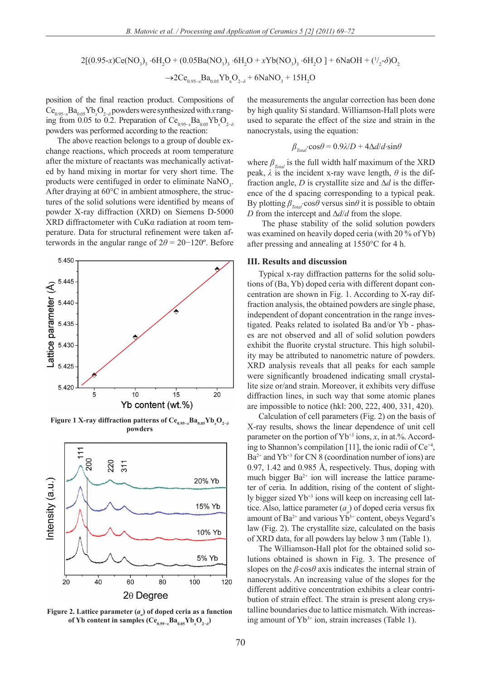2[(0.95-*x*)Ce(NO<sub>3</sub>)<sub>3</sub> ·6H<sub>2</sub>O + (0.05Ba(NO<sub>3</sub>)<sub>3</sub> ·6H<sub>2</sub>O + *xY*b(NO<sub>3</sub>)<sub>3</sub> ·6H<sub>2</sub>O ] + 6NaOH + (<sup>1</sup>/<sub>2</sub>·*δ*)O<sub>2</sub>  $\rightarrow$ 2Ce<sub>0.95-*x*</sub>Ba<sub>0.05</sub>Yb<sub>x</sub>O<sub>2−δ</sub> + 6NaNO<sub>3</sub> + 15H<sub>2</sub>O

position of the final reaction product. Compositions of  $\text{Ce}_{0.95-x}\text{Ba}_{0.05}\text{Yb}_{x}\text{O}_{2-\delta}$  powders were synthesized with *x* ranging from 0.05 to 0.2. Preparation of  $\text{Ce}_{0.95-x}\text{Ba}_{0.05}\text{Yb}_{x}\text{O}_{2-\delta}$ powders was performed according to the reaction:

The above reaction belongs to a group of double exchange reactions, which proceeds at room temperature after the mixture of reactants was mechanically activated by hand mixing in mortar for very short time. The products were centifuged in order to eliminate  $NaNO<sub>3</sub>$ . After draying at 60°C in ambient atmosphere, the structures of the solid solutions were identified by means of powder X-ray diffraction (XRD) on Siemens D-5000 XRD diffractometer with CuKα radiation at room temperature. Data for structural refinement were taken afterwords in the angular range of  $2\theta = 20 - 120^\circ$ . Before



**Figure 1 X-ray diffraction patterns of Ce0.95−***<sup>x</sup>* **Ba0.05Yb***<sup>x</sup>* **O2−***<sup>δ</sup>* **powders**



Figure 2. Lattice parameter (*a*<sub>*o*</sub>) of doped ceria as a function  $\mathbf{of} \text{Yb}$  content in samples  $(\text{Ce}_{0.95-\text{x}}\text{Ba}_{0.05}\text{Yb}_{\text{x}}\text{O}_{2-\delta})$ 

the measurements the angular correction has been done by high quality Si standard. Williamson-Hall plots were used to separate the effect of the size and strain in the nanocrystals, using the equation:

$$
\beta_{\text{Total}} \cdot \cos \theta = 0.9 \lambda / D + 4 \Delta d / d \cdot \sin \theta
$$

where  $\beta_{\text{Total}}$  is the full width half maximum of the XRD peak,  $\lambda$  is the incident x-ray wave length,  $\theta$  is the diffraction angle, *D* is crystallite size and ∆*d* is the difference of the d spacing corresponding to a typical peak. By plotting  $\beta_{\text{Total}}$ ⋅cos $\theta$  versus sin $\theta$  it is possible to obtain *D* from the intercept and ∆*d*/*d* from the slope.

The phase stability of the solid solution powders was examined on heavily doped ceria (with 20 % of Yb) after pressing and annealing at 1550°C for 4 h.

### **III. Results and discussion**

Typical x-ray diffraction patterns for the solid solutions of (Ba, Yb) doped ceria with different dopant concentration are shown in Fig. 1. According to X-ray diffraction analysis, the obtained powders are single phase, independent of dopant concentration in the range investigated. Peaks related to isolated Ba and/or Yb - phases are not observed and all of solid solution powders exhibit the fluorite crystal structure. This high solubility may be attributed to nanometric nature of powders. XRD analysis reveals that all peaks for each sample were significantly broadened indicating small crystallite size or/and strain. Moreover, it exhibits very diffuse diffraction lines, in such way that some atomic planes are impossible to notice (hkl: 200, 222, 400, 331, 420).

Calculation of cell parameters (Fig. 2) on the basis of X-ray results, shows the linear dependence of unit cell parameter on the portion of  $Yb^{+3}$  ions, *x*, in at.%. According to Shannon's compilation [11], the ionic radii of  $Ce^{+4}$ ,  $Ba^{2+}$  and  $Yb^{+3}$  for CN 8 (coordination number of ions) are 0.97, 1.42 and 0.985 Å, respectively. Thus, doping with much bigger  $Ba^{2+}$  ion will increase the lattice parameter of ceria. In addition, rising of the content of slightly bigger sized Yb+3 ions will keep on increasing cell lattice. Also, lattice parameter  $(a<sub>o</sub>)$  of doped ceria versus fix amount of Ba<sup>2+</sup> and various  $Yb^{3+}$  content, obeys Vegard's law (Fig. 2). The crystallite size, calculated on the basis of XRD data, for all powders lay below 3 nm (Table 1).

The Williamson-Hall plot for the obtained solid solutions obtained is shown in Fig. 3. The presence of slopes on the *β*⋅cos*θ* axis indicates the internal strain of nanocrystals. An increasing value of the slopes for the different additive concentration exhibits a clear contribution of strain effect. The strain is present along crystalline boundaries due to lattice mismatch. With increasing amount of Yb<sup>3+</sup> ion, strain increases (Table 1).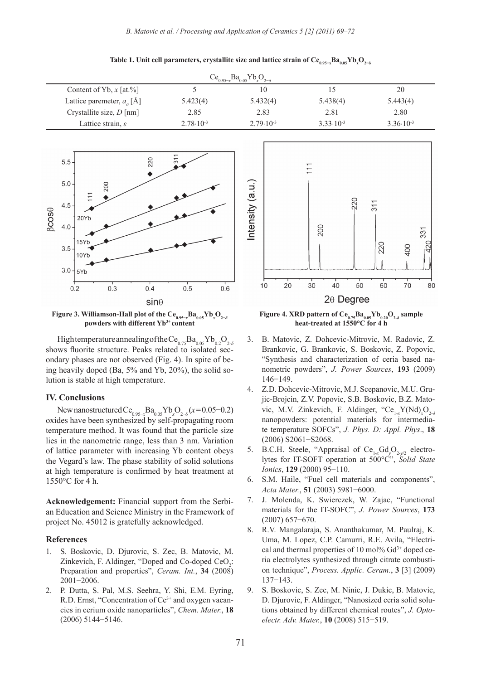$Ce<sub>0.95</sub>$  $Ba<sub>0.05</sub>Yb<sub>x</sub>O<sub>2-\delta</sub>$ Content of Yb, *x* [at.%] 5 10 15 20 Lattice paremeter,  $a_{\alpha}$  [Å]  $[A]$  5.423(4) 5.432(4) 5.438(4) 5.443(4) Crystallite size, *D* [nm] 2.85 2.83 2.81 2.80 Lattice strain, *ε* 2.78⋅10<sup>-3</sup> 2.79⋅10<sup>-3</sup> 3.33⋅10<sup>-3</sup> 3.36⋅10<sup>-3</sup> 3.36⋅10<sup>-3</sup>



**Figure 3. Williamson-Hall plot of the Ce0.95−***<sup>x</sup>* **Ba0.05Yb***<sup>x</sup>* **O2−***<sup>δ</sup>* **powders with different Yb3+ content**

High temperature annealing of the Ce<sub>0.75</sub>Ba<sub>0.05</sub>Yb<sub>0.2</sub>O<sub>2-δ</sub> shows fluorite structure. Peaks related to isolated secondary phases are not observed (Fig. 4). In spite of being heavily doped (Ba, 5% and Yb, 20%), the solid solution is stable at high temperature.

#### **IV. Conclusions**

New nanostructured Ce<sub>0.95–*x*</sub>Ba<sub>0.05</sub>Yb<sub>*x*</sub>O<sub>2−δ</sub>(*x*=0.05−0.2) oxides have been synthesized by self-propagating room temperature method. It was found that the particle size lies in the nanometric range, less than 3 nm. Variation of lattice parameter with increasing Yb content obeys the Vegard's law. The phase stability of solid solutions at high temperature is confirmed by heat treatment at 1550°C for 4 h.

**Acknowledgement:** Financial support from the Serbian Education and Science Ministry in the Framework of project No. 45012 is gratefully acknowledged.

#### **References**

- 1. S. Boskovic, D. Djurovic, S. Zec, B. Matovic, M. Zinkevich, F. Aldinger, "Doped and Co-doped  $CeO<sub>2</sub>$ : Preparation and properties", *Ceram. Int.*, **34** (2008) 2001−2006.
- 2. P. Dutta, S. Pal, M.S. Seehra, Y. Shi, E.M. Eyring, R.D. Ernst, "Concentration of Ce<sup>3+</sup> and oxygen vacancies in cerium oxide nanoparticles", *Chem. Mater.*, **18** (2006) 5144−5146.



**Figure 4. XRD pattern of Ce<sub>0.75</sub>Ba<sub>0.05</sub>Yb<sub>0.20</sub>O<sub>2-***δ***</sub> sample heat-treated at 1550°C for 4 h**

- 3. B. Matovic, Z. Dohcevic-Mitrovic, M. Radovic, Z. Brankovic, G. Brankovic, S. Boskovic, Z. Popovic, "Synthesis and characterization of ceria based nanometric powders", *J. Power Sources*, **193** (2009) 146−149.
- 4. Z.D. Dohcevic-Mitrovic, M.J. Scepanovic, M.U. Grujic-Brojcin, Z.V. Popovic, S.B. Boskovic, B.Z. Matovic, M.V. Zinkevich, F. Aldinger, "Ce<sub>1-x</sub>Y(Nd)<sub>x</sub>O<sub>2-*δ*</sub> nanopowders: potential materials for intermediate temperature SOFCs", *J. Phys. D: Appl. Phys*., **18** (2006) S2061−S2068.
- 5. B.C.H. Steele, "Appraisal of  $Ce_{1-x}Gd_{y}O_{2-y/2}$  electrolytes for IT-SOFT operation at 500°C", *Solid State Ionics*, **129** (2000) 95−110.
- 6. S.M. Haile, "Fuel cell materials and components", *Acta Mater.*, **51** (2003) 5981−6000.
- 7. J. Molenda, K. Swierczek, W. Zajac, "Functional materials for the IT-SOFC", *J. Power Sources*, **173** (2007) 657−670.
- 8. R.V. Mangalaraja, S. Ananthakumar, M. Paulraj, K. Uma, M. Lopez, C.P. Camurri, R.E. Avila, "Electrical and thermal properties of 10 mol%  $Gd^{3+}$  doped ceria electrolytes synthesized through citrate combustion technique", *Process. Applic. Ceram.*, **3** [3] (2009) 137−143.
- 9. S. Boskovic, S. Zec, M. Ninic, J. Dukic, B. Matovic, D. Djurovic, F. Aldinger, "Nanosized ceria solid solutions obtained by different chemical routes", *J. Optoelectr. Adv. Mater.*, **10** (2008) 515−519.

 ${\rm Table~1.}$  Unit cell parameters, crystallite size and lattice strain of  ${\rm Ce}_{_{0.95-x}}{\rm Ba}_{_{0.05}}{\rm Yb}_{_{\rm x}}{\rm O}_{_{2- \delta}}$